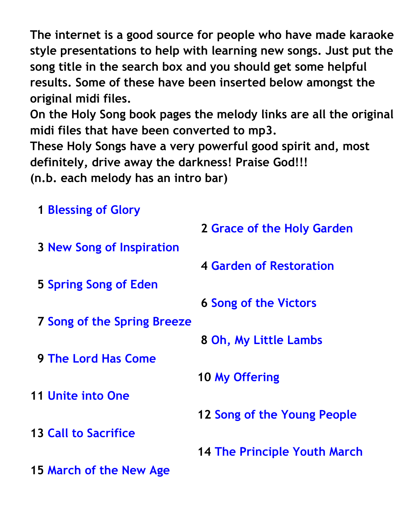**The internet is a good source for people who have made karaoke style presentations to help with learning new songs. Just put the song title in the search box and you should get some helpful results. Some of these have been inserted below amongst the original midi files.** 

**On the Holy Song book pages the melody links are all the original midi files that have been converted to mp3.**

**These Holy Songs have a very powerful good spirit and, most definitely, drive away the darkness! Praise God!!!** 

**(n.b. each melody has an intro bar)**

| <b>1 Blessing of Glory</b>         |                                     |
|------------------------------------|-------------------------------------|
|                                    | 2 Grace of the Holy Garden          |
| <b>3 New Song of Inspiration</b>   |                                     |
|                                    | 4 Garden of Restoration             |
| 5 Spring Song of Eden              |                                     |
|                                    | <b>6 Song of the Victors</b>        |
| <b>7 Song of the Spring Breeze</b> |                                     |
|                                    | 8 Oh, My Little Lambs               |
| <b>9 The Lord Has Come</b>         |                                     |
|                                    | 10 My Offering                      |
| <b>11 Unite into One</b>           |                                     |
|                                    |                                     |
|                                    | 12 Song of the Young People         |
| <b>13 Call to Sacrifice</b>        |                                     |
|                                    | <b>14 The Principle Youth March</b> |
| <b>15 March of the New Age</b>     |                                     |